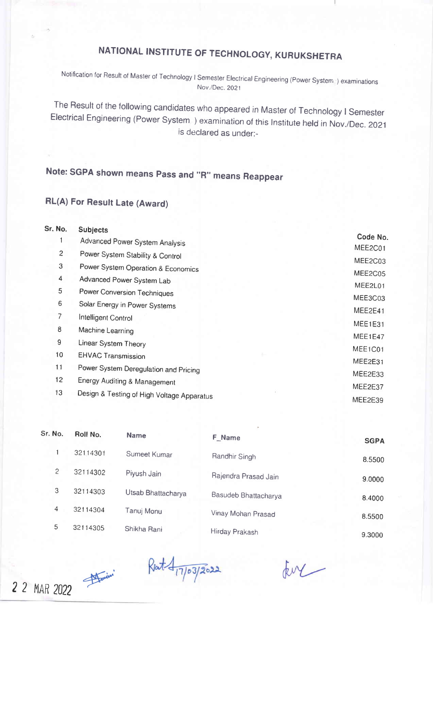## NATIONAL INSTITUTE OF TECHNOLOGY, KURUKSHETRA

Notification for Result of Master of Technology I Semester Electrical Engineering (Power System ) examinations Nov./Dec. 2021

The Result of the following candidates who appeared in Master of Technology I Semester<br>Electrical Engineering (Power System ) examination of this Institute held in Nov./Dec. 2021 is declared as under:-

## Note: SGPA shown means Pass and "R" means Reappear

## RL(A) For Result Late (Award)

| Sr. No.         | <b>Subjects</b>                            |          |
|-----------------|--------------------------------------------|----------|
|                 | Advanced Power System Analysis             | Code No. |
| $\overline{2}$  | Power System Stability & Control           | MEE2C01  |
| 3               | Power System Operation & Economics         | MEE2C03  |
| 4               | Advanced Power System Lab                  | MEE2C05  |
| 5               | Power Conversion Techniques                | MEE2L01  |
| 6               | Solar Energy in Power Systems              | MEE3C03  |
| 7               | Intelligent Control                        | MEE2E41  |
| 8               | Machine Learning                           | MEE1E31  |
| 9               | Linear System Theory                       | MEE1E47  |
| 10              | <b>EHVAC Transmission</b>                  | MEE1C01  |
| 11              | Power System Deregulation and Pricing      | MEE2E31  |
| 12 <sub>2</sub> | Energy Auditing & Management               | MEE2E33  |
| 13              |                                            | MEE2E37  |
|                 | Design & Testing of High Voltage Apparatus | MEE2E39  |

| Sr. No. | Roll No. | <b>Name</b>        | F_Name               | <b>SGPA</b> |
|---------|----------|--------------------|----------------------|-------------|
|         | 32114301 | Sumeet Kumar       | Randhir Singh        | 8.5500      |
| 2       | 32114302 | Piyush Jain        | Rajendra Prasad Jain | 9.0000      |
| 3       | 32114303 | Utsab Bhattacharya | Basudeb Bhattacharya | 8.4000      |
| 4       | 32114304 | Tanuj Monu         | Vinay Mohan Prasad   | 8.5500      |
| 5       | 32114305 | Shikha Rani        | Hirday Prakash       | 9.3000      |

2 2 MAR 2022

Ret 417/03/2022

EM